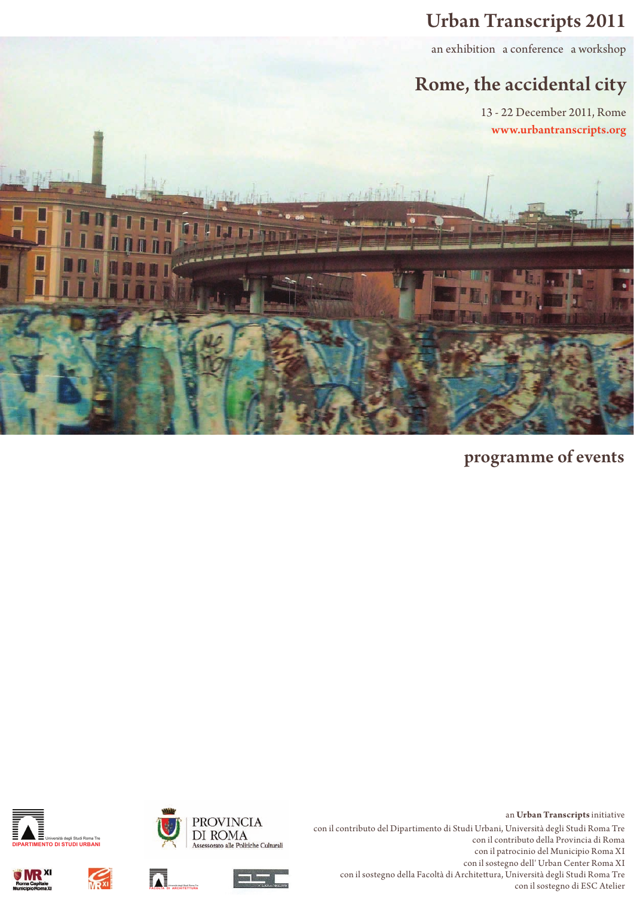an exhibition a conference a workshop

# Rome, the accidental city

13 - 22 December 2011, Rome www.urbantranscripts.org



programme of events





an **Urban Transcripts** initiative con il contributo del Dipartimento di Studi Urbani, Università degli Studi Roma Tre con il contributo della Provincia di Roma con il patrocinio del Municipio Roma XI con il sostegno dell' Urban Center Roma XI con il sostegno della Facoltà di Architettura, Università degli Studi Roma Tre con il sostegno di ESC Atelier













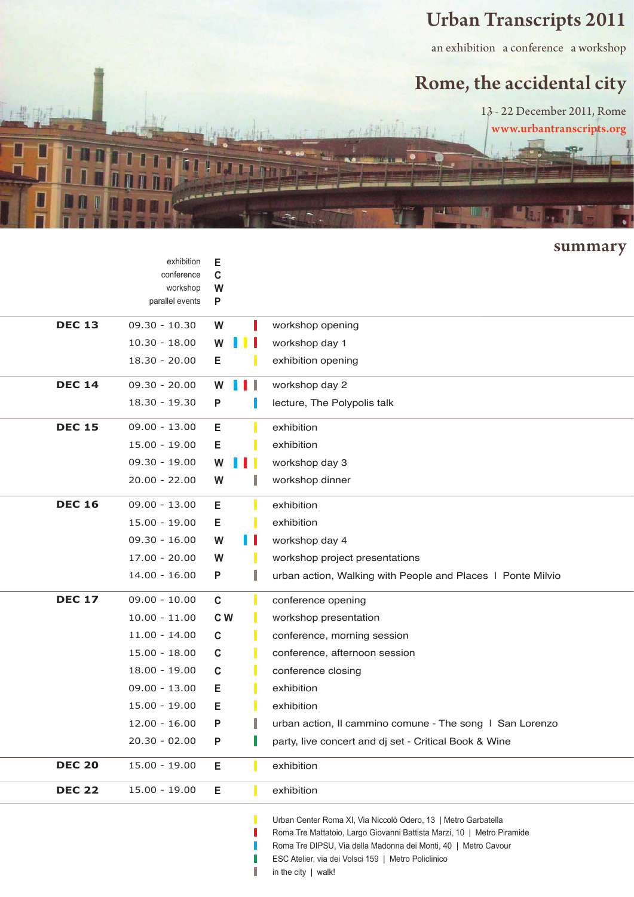an exhibition a conference a workshop

# Rome, the accidental city



### summary

|               | exhibition<br>conference<br>workshop<br>parallel events | Е<br>C<br>W<br>P |                                                                                                                                                                                                                                                                                            |
|---------------|---------------------------------------------------------|------------------|--------------------------------------------------------------------------------------------------------------------------------------------------------------------------------------------------------------------------------------------------------------------------------------------|
| <b>DEC 13</b> | $09.30 - 10.30$                                         | W                | workshop opening                                                                                                                                                                                                                                                                           |
|               | $10.30 - 18.00$                                         | W                | workshop day 1                                                                                                                                                                                                                                                                             |
|               | $18.30 - 20.00$                                         | Е                | exhibition opening                                                                                                                                                                                                                                                                         |
| <b>DEC 14</b> | $09.30 - 20.00$                                         | W                | workshop day 2                                                                                                                                                                                                                                                                             |
|               | 18.30 - 19.30                                           | P                | lecture, The Polypolis talk                                                                                                                                                                                                                                                                |
| <b>DEC 15</b> | $09.00 - 13.00$                                         | Е                | exhibition                                                                                                                                                                                                                                                                                 |
|               | $15.00 - 19.00$                                         | Е                | exhibition                                                                                                                                                                                                                                                                                 |
|               | $09.30 - 19.00$                                         | W                | workshop day 3                                                                                                                                                                                                                                                                             |
|               | $20.00 - 22.00$                                         | W                | workshop dinner                                                                                                                                                                                                                                                                            |
| <b>DEC 16</b> | $09.00 - 13.00$                                         | Е                | exhibition                                                                                                                                                                                                                                                                                 |
|               | $15.00 - 19.00$                                         | Е                | exhibition                                                                                                                                                                                                                                                                                 |
|               | $09.30 - 16.00$                                         | W                | workshop day 4                                                                                                                                                                                                                                                                             |
|               | $17.00 - 20.00$                                         | W                | workshop project presentations                                                                                                                                                                                                                                                             |
|               | $14.00 - 16.00$                                         | P                | urban action, Walking with People and Places I Ponte Milvio                                                                                                                                                                                                                                |
| <b>DEC 17</b> | $09.00 - 10.00$                                         | $\mathbf c$      | conference opening                                                                                                                                                                                                                                                                         |
|               | $10.00 - 11.00$                                         | C W              | workshop presentation                                                                                                                                                                                                                                                                      |
|               | $11.00 - 14.00$                                         | $\mathbf c$      | conference, morning session                                                                                                                                                                                                                                                                |
|               | $15.00 - 18.00$                                         | $\mathbf c$      | conference, afternoon session                                                                                                                                                                                                                                                              |
|               | $18.00 - 19.00$                                         | $\mathbf c$      | conference closing                                                                                                                                                                                                                                                                         |
|               | $09.00 - 13.00$                                         | Е                | exhibition                                                                                                                                                                                                                                                                                 |
|               | $15.00 - 19.00$                                         | Е                | exhibition                                                                                                                                                                                                                                                                                 |
|               | $12.00 - 16.00$                                         | P                | urban action, Il cammino comune - The song I San Lorenzo                                                                                                                                                                                                                                   |
|               | $20.30 - 02.00$                                         | P                | party, live concert and dj set - Critical Book & Wine                                                                                                                                                                                                                                      |
| <b>DEC 20</b> | $15.00 - 19.00$                                         | Е                | exhibition                                                                                                                                                                                                                                                                                 |
| <b>DEC 22</b> | $15.00 - 19.00$                                         | Е                | exhibition                                                                                                                                                                                                                                                                                 |
|               |                                                         |                  | Urban Center Roma XI, Via Niccolò Odero, 13   Metro Garbatella<br>Roma Tre Mattatoio, Largo Giovanni Battista Marzi, 10   Metro Piramide<br>Roma Tre DIPSU, Via della Madonna dei Monti, 40   Metro Cavour<br>ESC Atelier, via dei Volsci 159   Metro Policlinico<br>in the city $ $ walk! |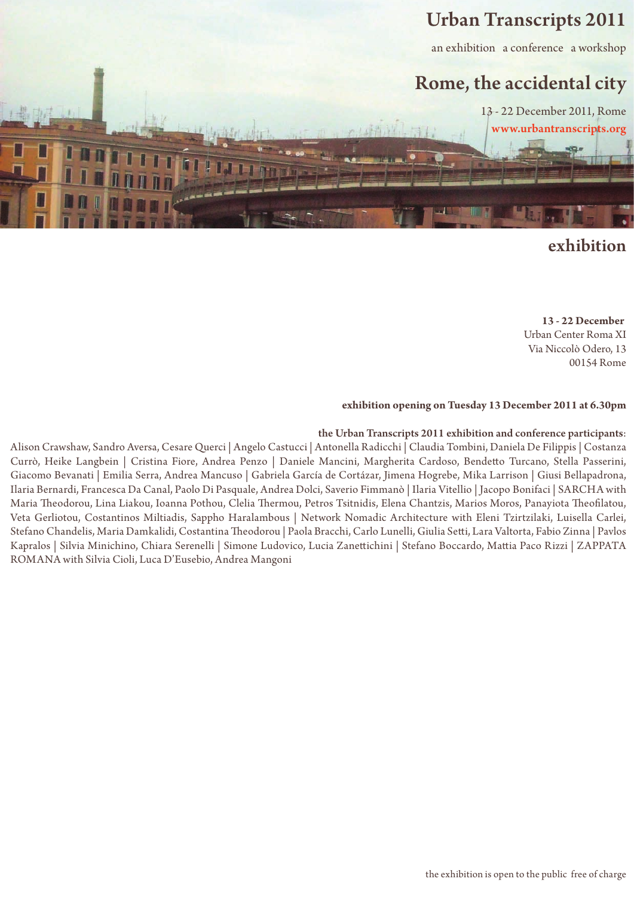an exhibition a conference a workshop

### Rome, the accidental city



### exhibition

**13 - 22 December**  Urban Center Roma XI Via Niccolò Odero, 13 00154 Rome

#### **exhibition opening on Tuesday 13 December 2011 at 6.30pm**

#### the Urban Transcripts 2011 exhibition and conference participants:

Alison Crawshaw, Sandro Aversa, Cesare Querci | Angelo Castucci | Antonella Radicchi | Claudia Tombini, Daniela De Filippis | Costanza Currò, Heike Langbein | Cristina Fiore, Andrea Penzo | Daniele Mancini, Margherita Cardoso, Bendetto Turcano, Stella Passerini, Giacomo Bevanati | Emilia Serra, Andrea Mancuso | Gabriela García de Cortázar, Jimena Hogrebe, Mika Larrison | Giusi Bellapadrona, Ilaria Bernardi, Francesca Da Canal, Paolo Di Pasquale, Andrea Dolci, Saverio Fimmanò | Ilaria Vitellio | Jacopo Bonifaci | SARCHA with Maria Theodorou, Lina Liakou, Ioanna Pothou, Clelia Thermou, Petros Tsitnidis, Elena Chantzis, Marios Moros, Panayiota Theofilatou, Veta Gerliotou, Costantinos Miltiadis, Sappho Haralambous | Network Nomadic Architecture with Eleni Tzirtzilaki, Luisella Carlei, Stefano Chandelis, Maria Damkalidi, Costantina Theodorou | Paola Bracchi, Carlo Lunelli, Giulia Setti, Lara Valtorta, Fabio Zinna | Pavlos Kapralos | Silvia Minichino, Chiara Serenelli | Simone Ludovico, Lucia Zanettichini | Stefano Boccardo, Mattia Paco Rizzi | ZAPPATA ROMANA with Silvia Cioli, Luca D'Eusebio, Andrea Mangoni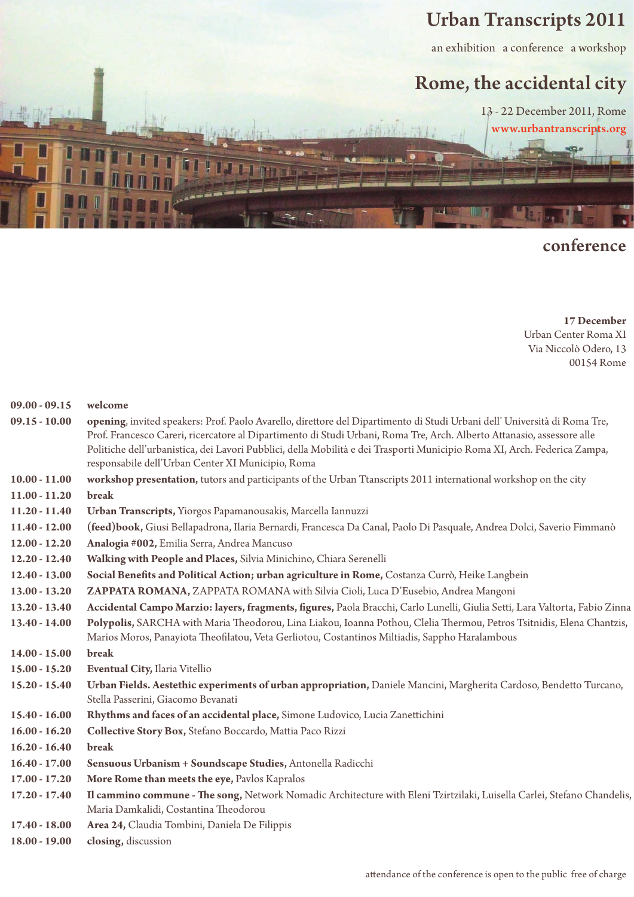an exhibition a conference a workshop

### Rome, the accidental city



### conference

 **17 December**  Urban Center Roma XI Via Niccolò Odero, 13 00154 Rome

#### **09.00 - 09.15 welcome**

| 09.15 - 10.00 | opening, invited speakers: Prof. Paolo Avarello, direttore del Dipartimento di Studi Urbani dell'Università di Roma Tre, |
|---------------|--------------------------------------------------------------------------------------------------------------------------|
|               | Prof. Francesco Careri, ricercatore al Dipartimento di Studi Urbani, Roma Tre, Arch. Alberto Attanasio, assessore alle   |
|               | Politiche dell'urbanistica, dei Lavori Pubblici, della Mobilità e dei Trasporti Municipio Roma XI, Arch. Federica Zampa, |
|               | responsabile dell'Urban Center XI Municipio, Roma                                                                        |

- **10.00 11.00 workshop presentation,** tutors and participants of the Urban Ttanscripts 2011 international workshop on the city
- **11.00 11.20 break**
- **11.20 11.40 Urban Transcripts,** Yiorgos Papamanousakis, Marcella Iannuzzi
- **11.40 12.00 (feed)book,** Giusi Bellapadrona, Ilaria Bernardi, Francesca Da Canal, Paolo Di Pasquale, Andrea Dolci, Saverio Fimmanò
- **12.00 12.20 Analogia #002,** Emilia Serra, Andrea Mancuso
- **12.20 12.40 Walking with People and Places,** Silvia Minichino, Chiara Serenelli
- **12.40 13.00 Social Benets and Political Action; urban agriculture in Rome,** Costanza Currò, Heike Langbein
- **13.00 13.20 ZAPPATA ROMANA,** ZAPPATA ROMANA with Silvia Cioli, Luca D'Eusebio, Andrea Mangoni
- 13.20 13.40 Accidental Campo Marzio: layers, fragments, figures, Paola Bracchi, Carlo Lunelli, Giulia Setti, Lara Valtorta, Fabio Zinna
- 13.40 14.00 Polypolis, SARCHA with Maria Theodorou, Lina Liakou, Ioanna Pothou, Clelia Thermou, Petros Tsitnidis, Elena Chantzis, Marios Moros, Panayiota Theofilatou, Veta Gerliotou, Costantinos Miltiadis, Sappho Haralambous
- **14.00 15.00 break**
- **15.00 15.20 Eventual City,** Ilaria Vitellio
- 15.20 15.40 Urban Fields. Aestethic experiments of urban appropriation, Daniele Mancini, Margherita Cardoso, Bendetto Turcano, Stella Passerini, Giacomo Bevanati
- 15.40 16.00 Rhythms and faces of an accidental place, Simone Ludovico, Lucia Zanettichini
- 16.00 16.20 Collective Story Box, Stefano Boccardo, Mattia Paco Rizzi
- **16.20 16.40 break**
- **16.40 17.00 Sensuous Urbanism + Soundscape Studies,** Antonella Radicchi
- **17.00 17.20 More Rome than meets the eye,** Pavlos Kapralos
- **17.20 17.40 Il cammino commune e song,** Network Nomadic Architecture with Eleni Tzirtzilaki, Luisella Carlei, Stefano Chandelis, Maria Damkalidi, Costantina Theodorou
- **17.40 18.00 Area 24,** Claudia Tombini, Daniela De Filippis
- **18.00 19.00 closing,** discussion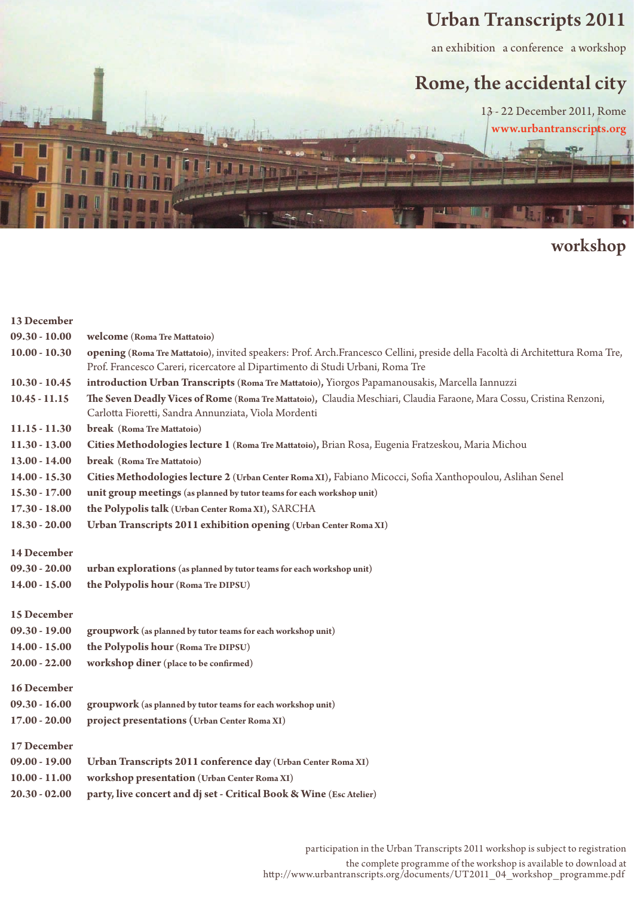an exhibition a conference a workshop

### Rome, the accidental city



### workshop

| 13 December                                       |                                                                                                                                                                                                                |
|---------------------------------------------------|----------------------------------------------------------------------------------------------------------------------------------------------------------------------------------------------------------------|
| $09.30 - 10.00$                                   | welcome (Roma Tre Mattatoio)                                                                                                                                                                                   |
| $10.00 - 10.30$                                   | opening (Roma Tre Mattatoio), invited speakers: Prof. Arch.Francesco Cellini, preside della Facoltà di Architettura Roma Tre,<br>Prof. Francesco Careri, ricercatore al Dipartimento di Studi Urbani, Roma Tre |
| $10.30 - 10.45$                                   | introduction Urban Transcripts (Roma Tre Mattatoio), Yiorgos Papamanousakis, Marcella Iannuzzi                                                                                                                 |
| $10.45 - 11.15$                                   | The Seven Deadly Vices of Rome (Roma Tre Mattatoio), Claudia Meschiari, Claudia Faraone, Mara Cossu, Cristina Renzoni,<br>Carlotta Fioretti, Sandra Annunziata, Viola Mordenti                                 |
| $11.15 - 11.30$                                   | break (Roma Tre Mattatoio)                                                                                                                                                                                     |
| $11.30 - 13.00$                                   | Cities Methodologies lecture 1 (Roma Tre Mattatoio), Brian Rosa, Eugenia Fratzeskou, Maria Michou                                                                                                              |
| $13.00 - 14.00$                                   | break (Roma Tre Mattatoio)                                                                                                                                                                                     |
| $14.00 - 15.30$                                   | Cities Methodologies lecture 2 (Urban Center Roma XI), Fabiano Micocci, Sofia Xanthopoulou, Aslihan Senel                                                                                                      |
| $15.30 - 17.00$                                   | unit group meetings (as planned by tutor teams for each workshop unit)                                                                                                                                         |
| $17.30 - 18.00$                                   | the Polypolis talk (Urban Center Roma XI), SARCHA                                                                                                                                                              |
| $18.30 - 20.00$                                   | Urban Transcripts 2011 exhibition opening (Urban Center Roma XI)                                                                                                                                               |
| 14 December<br>$09.30 - 20.00$<br>$14.00 - 15.00$ | urban explorations (as planned by tutor teams for each workshop unit)<br>the Polypolis hour (Roma Tre DIPSU)                                                                                                   |
| 15 December                                       |                                                                                                                                                                                                                |
| $09.30 - 19.00$                                   | groupwork (as planned by tutor teams for each workshop unit)                                                                                                                                                   |
| $14.00 - 15.00$                                   | the Polypolis hour (Roma Tre DIPSU)                                                                                                                                                                            |
| $20.00 - 22.00$                                   | workshop diner (place to be confirmed)                                                                                                                                                                         |
| 16 December                                       |                                                                                                                                                                                                                |
| $09.30 - 16.00$                                   | groupwork (as planned by tutor teams for each workshop unit)                                                                                                                                                   |
| $17.00 - 20.00$                                   | project presentations (Urban Center Roma XI)                                                                                                                                                                   |
| 17 December                                       |                                                                                                                                                                                                                |
| $09.00 - 19.00$                                   | Urban Transcripts 2011 conference day (Urban Center Roma XI)                                                                                                                                                   |
| $10.00 - 11.00$                                   | workshop presentation (Urban Center Roma XI)                                                                                                                                                                   |
| $20.30 - 02.00$                                   | party, live concert and dj set - Critical Book & Wine (Esc Atelier)                                                                                                                                            |
|                                                   |                                                                                                                                                                                                                |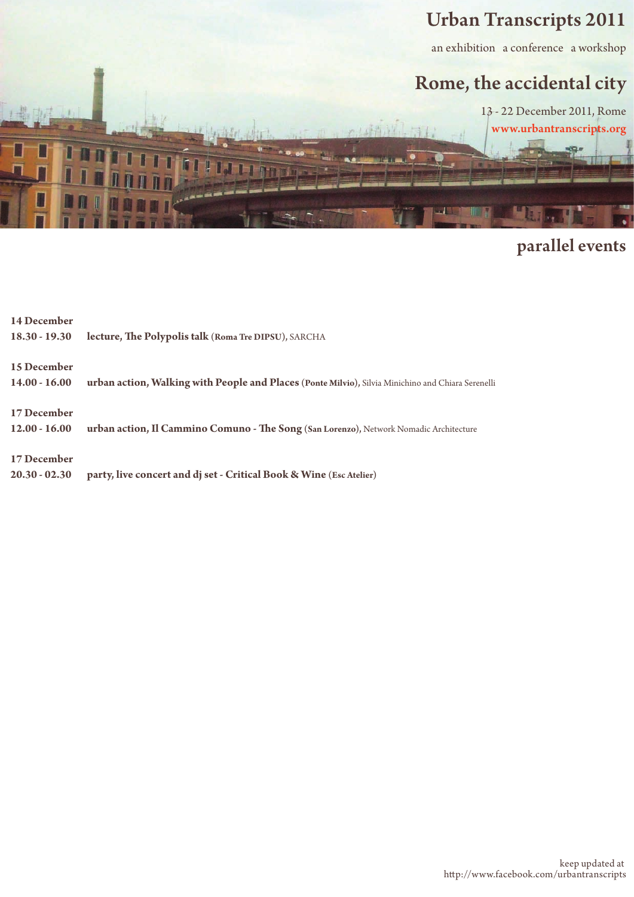

an exhibition a conference a workshop

## Rome, the accidental city



## parallel events

| 14 December<br>$18.30 - 19.30$ | lecture, The Polypolis talk (Roma Tre DIPSU), SARCHA                                               |
|--------------------------------|----------------------------------------------------------------------------------------------------|
| 15 December<br>$14.00 - 16.00$ | urban action, Walking with People and Places (Ponte Milvio), Silvia Minichino and Chiara Serenelli |
| 17 December<br>$12.00 - 16.00$ | urban action, Il Cammino Comuno - The Song (San Lorenzo), Network Nomadic Architecture             |
| 17 December<br>$20.30 - 02.30$ | party, live concert and dj set - Critical Book & Wine (Esc Atelier)                                |